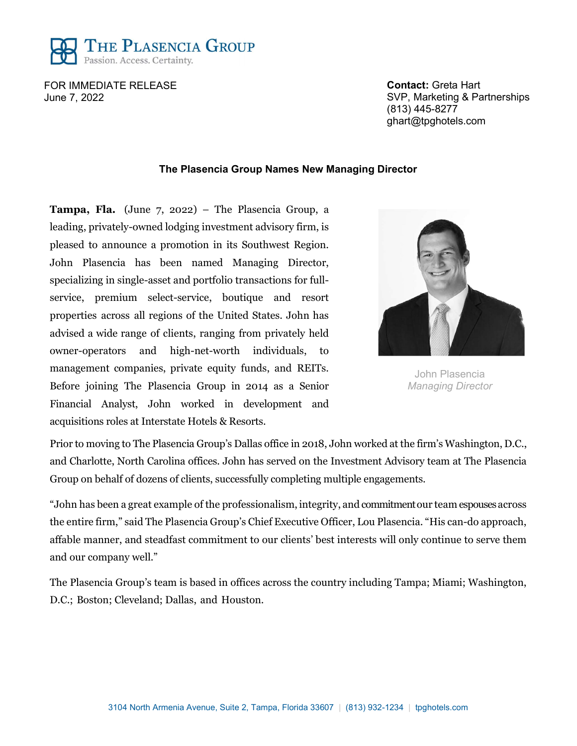

FOR IMMEDIATE RELEASE June 7, 2022

Contact: Greta Hart SVP, Marketing & Partnerships (813) 445-8277 ghart@tpghotels.com

## The Plasencia Group Names New Managing Director

**Tampa, Fla.** (June  $7$ , 2022) – The Plasencia Group, a leading, privately-owned lodging investment advisory firm, is pleased to announce a promotion in its Southwest Region. John Plasencia has been named Managing Director, specializing in single-asset and portfolio transactions for fullservice, premium select-service, boutique and resort properties across all regions of the United States. John has advised a wide range of clients, ranging from privately held owner-operators and high-net-worth individuals, to management companies, private equity funds, and REITs. Before joining The Plasencia Group in 2014 as a Senior Financial Analyst, John worked in development and acquisitions roles at Interstate Hotels & Resorts.



John Plasencia Managing Director

Prior to moving to The Plasencia Group's Dallas office in 2018, John worked at the firm's Washington, D.C., and Charlotte, North Carolina offices. John has served on the Investment Advisory team at The Plasencia Group on behalf of dozens of clients, successfully completing multiple engagements.

"John has been a great example of the professionalism, integrity, and commitment our team espouses across the entire firm," said The Plasencia Group's Chief Executive Officer, Lou Plasencia. "His can-do approach, affable manner, and steadfast commitment to our clients' best interests will only continue to serve them and our company well."

The Plasencia Group's team is based in offices across the country including Tampa; Miami; Washington, D.C.; Boston; Cleveland; Dallas, and Houston.